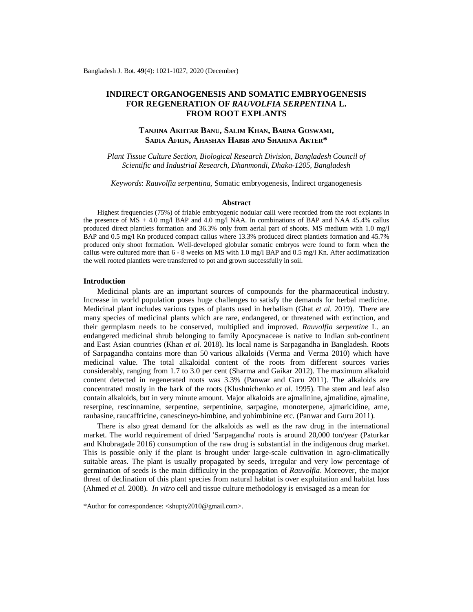# **INDIRECT ORGANOGENESIS AND SOMATIC EMBRYOGENESIS FOR REGENERATION OF** *RAUVOLFIA SERPENTINA* **L. FROM ROOT EXPLANTS**

## **TANJINA AKHTAR BANU, SALIM KHAN, BARNA GOSWAMI, SADIA AFRIN, AHASHAN HABIB AND SHAHINA AKTER\***

*Plant Tissue Culture Section, Biological Research Division, Bangladesh Council of Scientific and Industrial Research, Dhanmondi, Dhaka-1205, Bangladesh*

*Keywords*: *Rauvolfia serpentina*, Somatic embryogenesis, Indirect organogenesis

#### **Abstract**

Highest frequencies (75%) of friable embryogenic nodular calli were recorded from the root explants in the presence of  $\overline{MS} + 4.0$  mg/l BAP and 4.0 mg/l NAA. In combinations of BAP and NAA 45.4% callus produced direct plantlets formation and 36.3% only from aerial part of shoots. MS medium with 1.0 mg/l BAP and 0.5 mg/l Kn produced compact callus where 13.3% produced direct plantlets formation and 45.7% produced only shoot formation. Well-developed globular somatic embryos were found to form when the callus were cultured more than 6 - 8 weeks on MS with 1.0 mg/l BAP and 0.5 mg/l Kn. After acclimatization the well rooted plantlets were transferred to pot and grown successfully in soil.

### **Introduction**

Medicinal plants are an important sources of compounds for the pharmaceutical industry. Increase in world population poses huge challenges to satisfy the demands for herbal medicine. Medicinal plant includes various types of plants used in herbalism (Ghat *et al.* 2019). There are many species of medicinal plants which are rare, endangered, or threatened with extinction, and their germplasm needs to be conserved, multiplied and improved. *Rauvolfia serpentine* L. an endangered medicinal shrub belonging to family Apocynaceae is native to Indian sub-continent and East Asian countries (Khan *et al.* 2018). Its local name is Sarpagandha in Bangladesh. Roots of Sarpagandha contains more than 50 various alkaloids (Verma and Verma 2010) which have medicinal value. The total alkaloidal content of the roots from different sources varies considerably, ranging from 1.7 to 3.0 per cent (Sharma and Gaikar 2012). The maximum alkaloid content detected in regenerated roots was 3.3% (Panwar and Guru 2011). The alkaloids are concentrated mostly in the bark of the roots (Klushnichenko *et al.* 1995). The stem and leaf also contain alkaloids, but in very minute amount. Major alkaloids are ajmalinine, ajmalidine, ajmaline, reserpine, rescinnamine, serpentine, serpentinine, sarpagine, monoterpene, ajmaricidine, arne, raubasine, raucaffricine, canescineyo-himbine, and yohimbinine etc. (Panwar and Guru 2011).

There is also great demand for the alkaloids as well as the raw drug in the international market. The world requirement of dried 'Sarpagandha' roots is around 20,000 ton/year (Paturkar and Khobragade 2016) consumption of the raw drug is substantial in the indigenous drug market. This is possible only if the plant is brought under large-scale cultivation in agro-climatically suitable areas. The plant is usually propagated by seeds, irregular and very low percentage of germination of seeds is the main difficulty in the propagation of *Rauvolfia*. Moreover, the major threat of declination of this plant species from natural habitat is over exploitation and habitat loss (Ahmed *et al.* 2008). *In vitro* cell and tissue culture methodology is envisaged as a mean for

<sup>\*</sup>Author for correspondence: [<shupty2010@gmail.com>](mailto:shupty2010@gmail.com).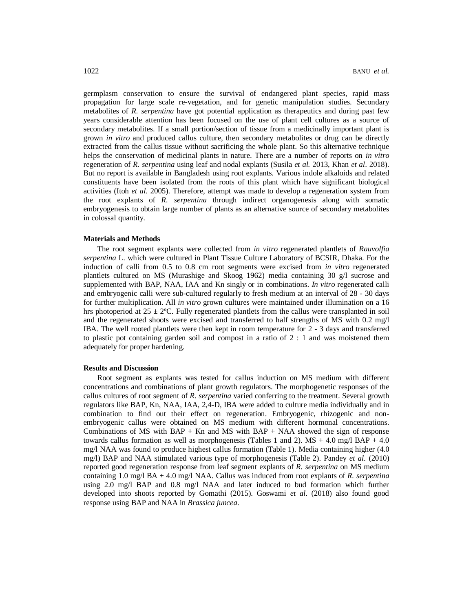germplasm conservation to ensure the survival of endangered plant species, rapid mass propagation for large scale re-vegetation, and for genetic manipulation studies. Secondary metabolites of *R. serpentina* have got potential application as therapeutics and during past few years considerable attention has been focused on the use of plant cell cultures as a source of secondary metabolites. If a small portion/section of tissue from a medicinally important plant is grown *in vitro* and produced callus culture, then secondary metabolites or drug can be directly extracted from the callus tissue without sacrificing the whole plant. So this alternative technique helps the conservation of medicinal plants in nature. There are a number of reports on *in vitro* regeneration of *R. serpentina* using leaf and nodal explants (Susila *et al.* 2013, Khan *et al*. 2018). But no report is available in Bangladesh using root explants. Various indole alkaloids and related constituents have been isolated from the roots of this plant which have significant biological activities (Itoh *et al*. 2005). Therefore, attempt was made to develop a regeneration system from the root explants of *R. serpentina* through indirect organogenesis along with somatic embryogenesis to obtain large number of plants as an alternative source of secondary metabolites in colossal quantity.

#### **Materials and Methods**

The root segment explants were collected from *in vitro* regenerated plantlets of *Rauvolfia serpentina* L. which were cultured in Plant Tissue Culture Laboratory of BCSIR, Dhaka. For the induction of calli from 0.5 to 0.8 cm root segments were excised from *in vitro* regenerated plantlets cultured on MS (Murashige and Skoog 1962) media containing 30 g/l sucrose and supplemented with BAP, NAA, IAA and Kn singly or in combinations. *In vitro* regenerated calli and embryogenic calli were sub-cultured regularly to fresh medium at an interval of 28 - 30 days for further multiplication. All *in vitro* grown cultures were maintained under illumination on a 16 hrs photoperiod at  $25 \pm 2$ °C. Fully regenerated plantlets from the callus were transplanted in soil and the regenerated shoots were excised and transferred to half strengths of MS with 0.2 mg/l IBA. The well rooted plantlets were then kept in room temperature for 2 - 3 days and transferred to plastic pot containing garden soil and compost in a ratio of 2 : 1 and was moistened them adequately for proper hardening.

#### **Results and Discussion**

Root segment as explants was tested for callus induction on MS medium with different concentrations and combinations of plant growth regulators. The morphogenetic responses of the callus cultures of root segment of *R. serpentina* varied conferring to the treatment. Several growth regulators like BAP, Kn, NAA, IAA, 2,4-D, IBA were added to culture media individually and in combination to find out their effect on regeneration. Embryogenic, rhizogenic and nonembryogenic callus were obtained on MS medium with different hormonal concentrations. Combinations of MS with  $BAP + Kn$  and MS with  $BAP + NAA$  showed the sign of response towards callus formation as well as morphogenesis (Tables 1 and 2).  $MS + 4.0$  mg/l  $BAP + 4.0$ mg/l NAA was found to produce highest callus formation (Table 1). Media containing higher (4.0 mg/l) BAP and NAA stimulated various type of morphogenesis (Table 2). Pandey *et al.* (2010) reported good regeneration response from leaf segment explants of *R. serpentina* on MS medium containing 1.0 mg/l BA + 4.0 mg/l NAA. Callus was induced from root explants of *R. serpentina*  using 2.0 mg/l BAP and 0.8 mg/l NAA and later induced to bud formation which further developed into shoots reported by Gomathi (2015). Goswami *et al*. (2018) also found good response using BAP and NAA in *Brassica juncea*.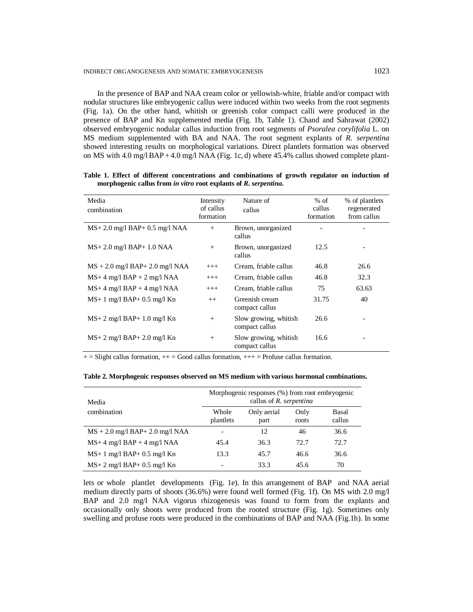#### INDIRECT ORGANOGENESIS AND SOMATIC EMBRYOGENESIS 1023

In the presence of BAP and NAA cream color or yellowish-white, friable and/or compact with nodular structures like embryogenic callus were induced within two weeks from the root segments (Fig. 1a). On the other hand, whitish or greenish color compact calli were produced in the presence of BAP and Kn supplemented media (Fig. 1b, Table 1). Chand and Sahrawat (2002) observed embryogenic nodular callus induction from root segments of *Psoralea corylifolia* L. on MS medium supplemented with BA and NAA. The root segment explants of *R. serpentina* showed interesting results on morphological variations. Direct plantlets formation was observed on MS with  $4.0 \text{ mg}/\text{BAP} + 4.0 \text{ mg}/\text{NAA}$  (Fig. 1c, d) where 45.4% callus showed complete plant-

| Media<br>combination                 | Intensity<br>of callus<br>formation | Nature of<br>callus                     | $%$ of<br>callus<br>formation | % of plantlets<br>regenerated<br>from callus |
|--------------------------------------|-------------------------------------|-----------------------------------------|-------------------------------|----------------------------------------------|
| $MS+2.0$ mg/l $BAP+0.5$ mg/l NAA     | $^{+}$                              | Brown, unorganized<br>callus            |                               |                                              |
| $MS+2.0$ mg/l $BAP+1.0$ NAA          | $+$                                 | Brown, unorganized<br>callus            | 12.5                          |                                              |
| $MS + 2.0$ mg/l $BAP + 2.0$ mg/l NAA | $+++$                               | Cream, friable callus                   | 46.8                          | 26.6                                         |
| $MS+4$ mg/l $BAP + 2$ mg/l NAA       | $^{+++}$                            | Cream. friable callus                   | 46.8                          | 32.3                                         |
| $MS+4$ mg/l $BAP + 4$ mg/l NAA       | $^{+++}$                            | Cream, friable callus                   | 75                            | 63.63                                        |
| $MS+1$ mg/l $BAP+0.5$ mg/l Kn        | $^{++}$                             | Greenish cream<br>compact callus        | 31.75                         | 40                                           |
| $MS+2$ mg/l $BAP+1.0$ mg/l Kn        | $+$                                 | Slow growing, whitish<br>compact callus | 26.6                          |                                              |
| $MS+2$ mg/l $BAP+2.0$ mg/l Kn        | $+$                                 | Slow growing, whitish<br>compact callus | 16.6                          |                                              |

**Table 1. Effect of different concentrations and combinations of growth regulator on induction of morphogenic callus from** *in vitro* **root explants of** *R. serpentina***.**

 $+=$  Slight callus formation,  $++$  = Good callus formation,  $++$  = Profuse callus formation.

**Table 2. Morphogenic responses observed on MS medium with various hormonal combinations.**

| Media                             | Morphogenic responses (%) from root embryogenic<br>callus of R. serpentina |                     |               |                 |  |
|-----------------------------------|----------------------------------------------------------------------------|---------------------|---------------|-----------------|--|
| combination                       | Whole<br>plantlets                                                         | Only aerial<br>part | Only<br>roots | Basal<br>callus |  |
| $MS + 2.0$ mg/l BAP+ 2.0 mg/l NAA |                                                                            | 12                  | 46            | 36.6            |  |
| $MS+4$ mg/l $BAP + 4$ mg/l NAA    | 45.4                                                                       | 36.3                | 72.7          | 72.7            |  |
| $MS+1$ mg/l $BAP+0.5$ mg/l Kn     | 13.3                                                                       | 45.7                | 46.6          | 36.6            |  |
| $MS+2$ mg/l $BAP+0.5$ mg/l Kn     |                                                                            | 33.3                | 45.6          | 70              |  |

lets or whole plantlet developments (Fig. 1e). In this arrangement of BAP and NAA aerial medium directly parts of shoots (36.6%) were found well formed (Fig. 1f). On MS with 2.0 mg/l BAP and 2.0 mg/l NAA vigorus rhizogenesis was found to form from the explants and occasionally only shoots were produced from the rooted structure (Fig. 1g). Sometimes only swelling and profuse roots were produced in the combinations of BAP and NAA (Fig.1h). In some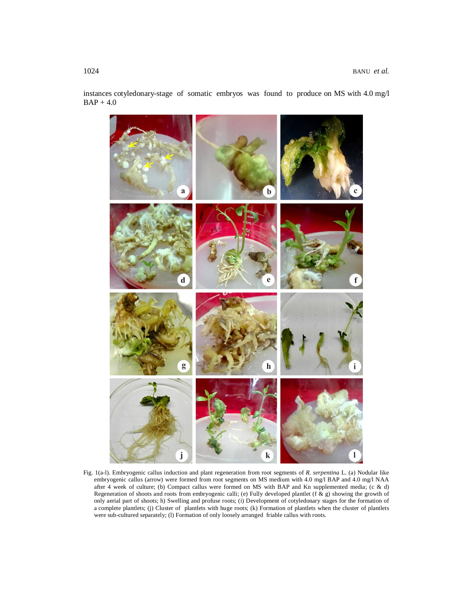instances cotyledonary-stage of somatic embryos was found to produce on MS with 4.0 mg/l  $BAP + 4.0$ 



Fig. 1(a-l). Embryogenic callus induction and plant regeneration from root segments of *R. serpentina* L. (a) Nodular like embryogenic callus (arrow) were formed from root segments on MS medium with 4.0 mg/l BAP and 4.0 mg/l NAA after 4 week of culture; (b) Compact callus were formed on MS with BAP and Kn supplemented media; (c & d) Regeneration of shoots and roots from embryogenic calli; (e) Fully developed plantlet (f  $\&$  g) showing the growth of only aerial part of shoots; h) Swelling and profuse roots; (i) Development of cotyledonary stages for the formation of a complete plantlets; (j) Cluster of plantlets with huge roots; (k) Formation of plantlets when the cluster of plantlets were sub-cultured separately; (1) Formation of only loosely arranged friable callus with roots.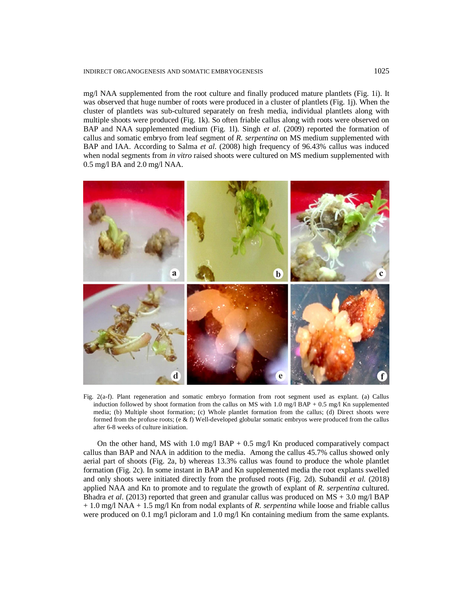#### INDIRECT ORGANOGENESIS AND SOMATIC EMBRYOGENESIS 1025

mg/l NAA supplemented from the root culture and finally produced mature plantlets (Fig. 1i). It was observed that huge number of roots were produced in a cluster of plantlets (Fig. 1j). When the cluster of plantlets was sub-cultured separately on fresh media, individual plantlets along with multiple shoots were produced (Fig. 1k). So often friable callus along with roots were observed on BAP and NAA supplemented medium (Fig. 1l). Singh *et al*. (2009) reported the formation of callus and somatic embryo from leaf segment of *R. serpentina* on MS medium supplemented with BAP and IAA. According to Salma *et al*. (2008) high frequency of 96.43% callus was induced when nodal segments from *in vitro* raised shoots were cultured on MS medium supplemented with 0.5 mg/l BA and 2.0 mg/l NAA.



Fig. 2(a-f). Plant regeneration and somatic embryo formation from root segment used as explant. (a) Callus induction followed by shoot formation from the callus on MS with 1.0 mg/l BAP + 0.5 mg/l Kn supplemented media; (b) Multiple shoot formation; (c) Whole plantlet formation from the callus; (d) Direct shoots were formed from the profuse roots; (e & f) Well-developed globular somatic embryos were produced from the callus after 6-8 weeks of culture initiation.

On the other hand, MS with 1.0 mg/l BAP  $+$  0.5 mg/l Kn produced comparatively compact callus than BAP and NAA in addition to the media. Among the callus 45.7% callus showed only aerial part of shoots (Fig. 2a, b) whereas 13.3% callus was found to produce the whole plantlet formation (Fig. 2c). In some instant in BAP and Kn supplemented media the root explants swelled and only shoots were initiated directly from the profused roots (Fig. 2d). Subandil *et al.* (2018) applied NAA and Kn to promote and to regulate the growth of explant of *R. serpentina* cultured. Bhadra *et al*. (2013) reported that green and granular callus was produced on MS + 3.0 mg/l BAP + 1.0 mg/l NAA + 1.5 mg/l Kn from nodal explants of *R. serpentina* while loose and friable callus were produced on 0.1 mg/l picloram and 1.0 mg/l Kn containing medium from the same explants.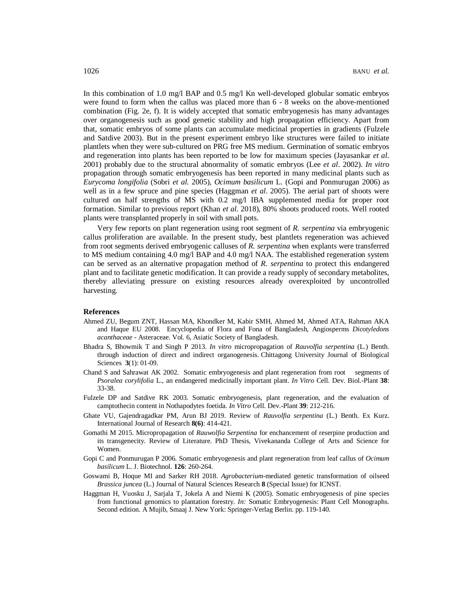In this combination of 1.0 mg/l BAP and 0.5 mg/l Kn well-developed globular somatic embryos were found to form when the callus was placed more than 6 - 8 weeks on the above-mentioned combination (Fig. 2e, f). It is widely accepted that somatic embryogenesis has many advantages over organogenesis such as good genetic stability and high propagation efficiency. Apart from that, somatic embryos of some plants can accumulate medicinal properties in gradients (Fulzele and Satdive 2003). But in the present experiment embryo like structures were failed to initiate plantlets when they were sub-cultured on PRG free MS medium. Germination of somatic embryos and regeneration into plants has been reported to be low for maximum species (Jayasankar *et al*. 2001) probably due to the structural abnormality of somatic embryos (Lee *et al*. 2002). *In vitro*  propagation through somatic embryogenesis has been reported in many medicinal plants such as *Eurycoma longifolia* (Sobri *et al.* 2005), *Ocimum basilicum* L. (Gopi and Ponmurugan 2006) as well as in a few spruce and pine species (Haggman *et al*. 2005). The aerial part of shoots were cultured on half strengths of MS with 0.2 mg/l IBA supplemented media for proper root formation. Similar to previous report (Khan *et al*. 2018), 80% shoots produced roots. Well rooted plants were transplanted properly in soil with small pots.

Very few reports on plant regeneration using root segment of *R. serpentina* via embryogenic callus proliferation are available. In the present study, best plantlets regeneration was achieved from root segments derived embryogenic calluses of *R. serpentina* when explants were transferred to MS medium containing 4.0 mg/l BAP and 4.0 mg/l NAA. The established regeneration system can be served as an alternative propagation method of *R. serpentina* to protect this endangered plant and to facilitate genetic modification. It can provide a ready supply of secondary metabolites, thereby alleviating pressure on existing resources already overexploited by uncontrolled harvesting.

#### **References**

- Ahmed ZU, Begum ZNT, Hassan MA, Khondker M, Kabir SMH, Ahmed M, Ahmed ATA, Rahman AKA and Haque EU 2008. Encyclopedia of Flora and Fona of Bangladesh, Angiosperms *Dicotyledons acanthaceae* - Asteraceae. Vol. 6, Asiatic Society of Bangladesh.
- Bhadra S, Bhowmik T and Singh P 2013. *In vitro* micropropagation of *Rauvolfia serpentina* (L.) Benth. through induction of direct and indirect organogenesis. Chittagong University Journal of Biological Sciences **3**(1): 01-09.
- Chand S and Sahrawat AK 2002. Somatic embryogenesis and plant regeneration from root segments of *Psoralea corylifolia* L., an endangered medicinally important plant. *In Vitro* Cell. Dev. Biol.-Plant **38**: 33-38.
- Fulzele DP and Satdive RK 2003. Somatic embryogenesis, plant regeneration, and the evaluation of camptothecin content in Nothapodytes foetida. *In Vitro* Cell. Dev.-Plant **39**: 212-216.
- Ghate VU, Gajendragadkar PM, Arun BJ 2019. Review of *Rauvolfia serpentina* (L.) Benth. Ex Kurz. International Journal of Research **8(6)**: 414-421.
- Gomathi M 2015. Micropropagation of *Rauwolfia Serpentina* for enchancement of reserpine production and its transgenecity. Review of Literature. PhD Thesis, Vivekananda College of Arts and Science for Women.
- Gopi C and Ponmurugan P 2006. Somatic embryogenesis and plant regeneration from leaf callus of *Ocimum basilicum* L. J. Biotechnol. **126**: 260-264.
- Goswami B, Hoque MI and Sarker RH 2018. *Agrobacterium*-mediated genetic transformation of oilseed *Brassica juncea* (L.) Journal of Natural Sciences Research **8** (Special Issue) for ICNST.
- Haggman H, Vuosku J, Sarjala T, Jokela A and Niemi K (2005). Somatic embryogenesis of pine species from functional genomics to plantation forestry. *In:* Somatic Embryogenesis: Plant Cell Monographs. Second edition. A Mujib, Smaaj J. New York: Springer-Verlag Berlin. pp. 119-140.